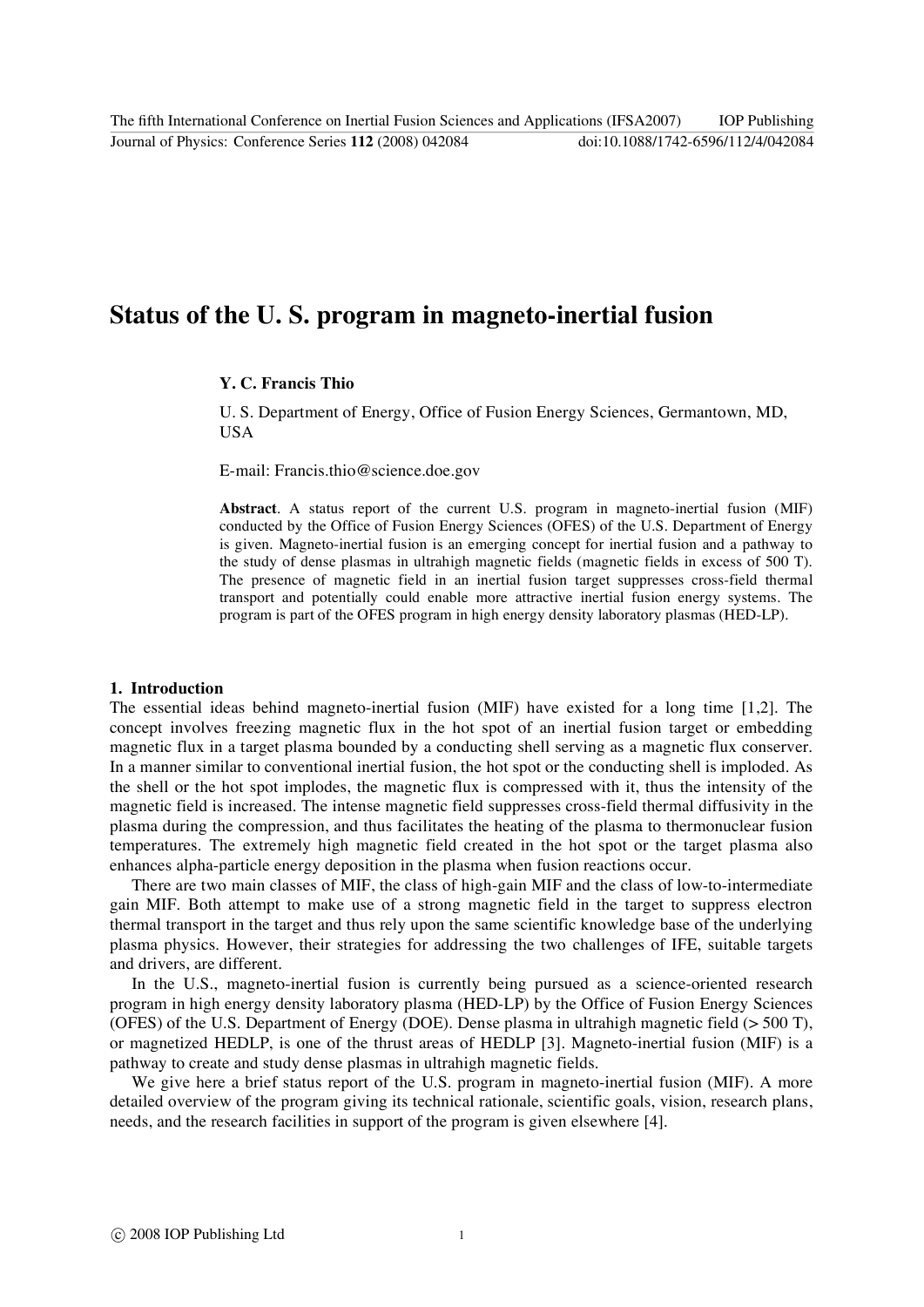# **Status of the U. S. program in magneto-inertial fusion**

# **Y. C. Francis Thio**

U. S. Department of Energy, Office of Fusion Energy Sciences, Germantown, MD, USA

E-mail: Francis.thio@science.doe.gov

**Abstract**. A status report of the current U.S. program in magneto-inertial fusion (MIF) conducted by the Office of Fusion Energy Sciences (OFES) of the U.S. Department of Energy is given. Magneto-inertial fusion is an emerging concept for inertial fusion and a pathway to the study of dense plasmas in ultrahigh magnetic fields (magnetic fields in excess of 500 T). The presence of magnetic field in an inertial fusion target suppresses cross-field thermal transport and potentially could enable more attractive inertial fusion energy systems. The program is part of the OFES program in high energy density laboratory plasmas (HED-LP).

## **1. Introduction**

The essential ideas behind magneto-inertial fusion (MIF) have existed for a long time [1,2]. The concept involves freezing magnetic flux in the hot spot of an inertial fusion target or embedding magnetic flux in a target plasma bounded by a conducting shell serving as a magnetic flux conserver. In a manner similar to conventional inertial fusion, the hot spot or the conducting shell is imploded. As the shell or the hot spot implodes, the magnetic flux is compressed with it, thus the intensity of the magnetic field is increased. The intense magnetic field suppresses cross-field thermal diffusivity in the plasma during the compression, and thus facilitates the heating of the plasma to thermonuclear fusion temperatures. The extremely high magnetic field created in the hot spot or the target plasma also enhances alpha-particle energy deposition in the plasma when fusion reactions occur.

There are two main classes of MIF, the class of high-gain MIF and the class of low-to-intermediate gain MIF. Both attempt to make use of a strong magnetic field in the target to suppress electron thermal transport in the target and thus rely upon the same scientific knowledge base of the underlying plasma physics. However, their strategies for addressing the two challenges of IFE, suitable targets and drivers, are different.

In the U.S., magneto-inertial fusion is currently being pursued as a science-oriented research program in high energy density laboratory plasma (HED-LP) by the Office of Fusion Energy Sciences (OFES) of the U.S. Department of Energy (DOE). Dense plasma in ultrahigh magnetic field (> 500 T), or magnetized HEDLP, is one of the thrust areas of HEDLP [3]. Magneto-inertial fusion (MIF) is a pathway to create and study dense plasmas in ultrahigh magnetic fields.

We give here a brief status report of the U.S. program in magneto-inertial fusion (MIF). A more detailed overview of the program giving its technical rationale, scientific goals, vision, research plans, needs, and the research facilities in support of the program is given elsewhere [4].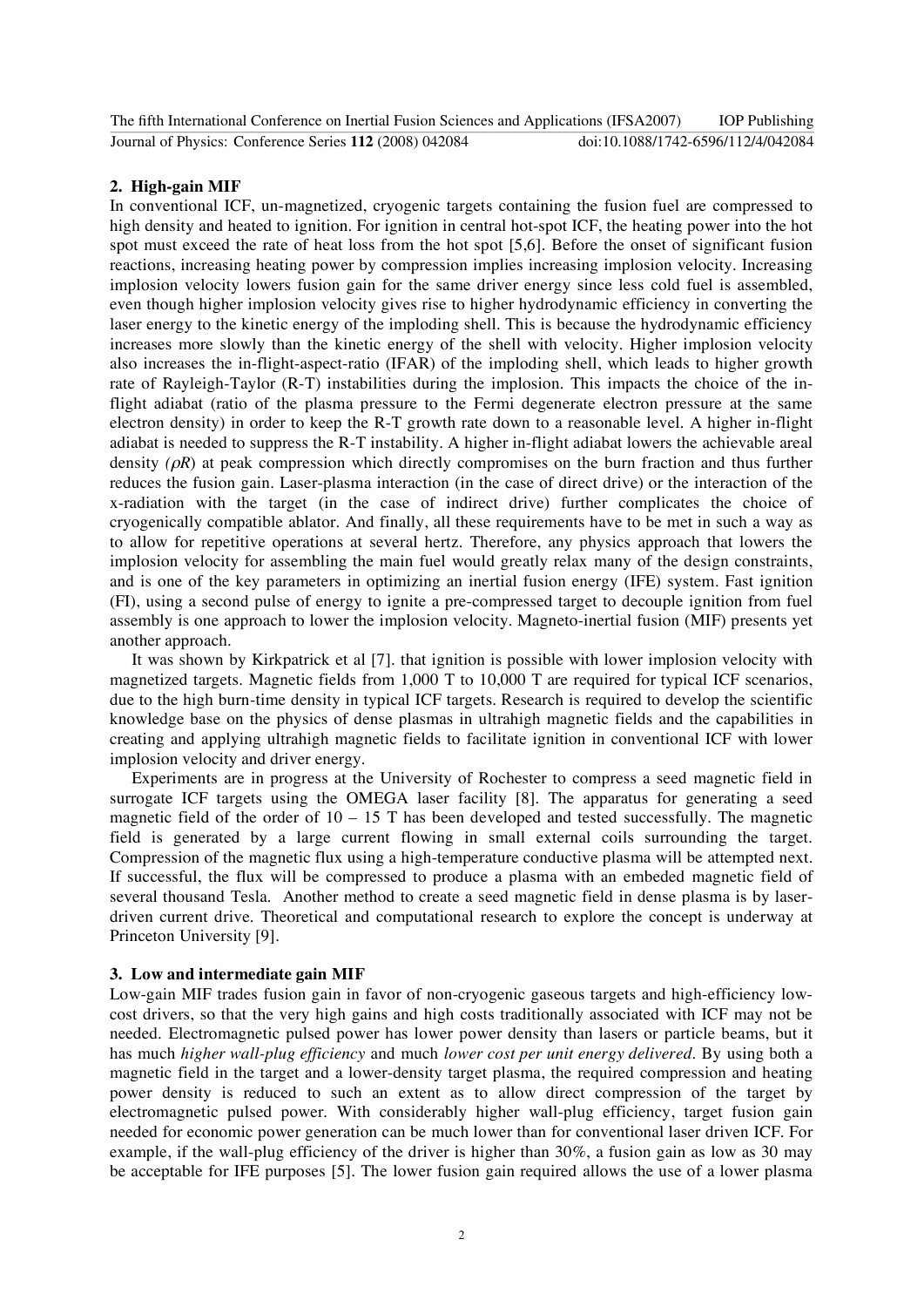# **2. High-gain MIF**

In conventional ICF, un-magnetized, cryogenic targets containing the fusion fuel are compressed to high density and heated to ignition. For ignition in central hot-spot ICF, the heating power into the hot spot must exceed the rate of heat loss from the hot spot [5,6]. Before the onset of significant fusion reactions, increasing heating power by compression implies increasing implosion velocity. Increasing implosion velocity lowers fusion gain for the same driver energy since less cold fuel is assembled, even though higher implosion velocity gives rise to higher hydrodynamic efficiency in converting the laser energy to the kinetic energy of the imploding shell. This is because the hydrodynamic efficiency increases more slowly than the kinetic energy of the shell with velocity. Higher implosion velocity also increases the in-flight-aspect-ratio (IFAR) of the imploding shell, which leads to higher growth rate of Rayleigh-Taylor (R-T) instabilities during the implosion. This impacts the choice of the inflight adiabat (ratio of the plasma pressure to the Fermi degenerate electron pressure at the same electron density) in order to keep the R-T growth rate down to a reasonable level. A higher in-flight adiabat is needed to suppress the R-T instability. A higher in-flight adiabat lowers the achievable areal density *(*ρ*R*) at peak compression which directly compromises on the burn fraction and thus further reduces the fusion gain. Laser-plasma interaction (in the case of direct drive) or the interaction of the x-radiation with the target (in the case of indirect drive) further complicates the choice of cryogenically compatible ablator. And finally, all these requirements have to be met in such a way as to allow for repetitive operations at several hertz. Therefore, any physics approach that lowers the implosion velocity for assembling the main fuel would greatly relax many of the design constraints, and is one of the key parameters in optimizing an inertial fusion energy (IFE) system. Fast ignition (FI), using a second pulse of energy to ignite a pre-compressed target to decouple ignition from fuel assembly is one approach to lower the implosion velocity. Magneto-inertial fusion (MIF) presents yet another approach.

It was shown by Kirkpatrick et al [7]. that ignition is possible with lower implosion velocity with magnetized targets. Magnetic fields from 1,000 T to 10,000 T are required for typical ICF scenarios, due to the high burn-time density in typical ICF targets. Research is required to develop the scientific knowledge base on the physics of dense plasmas in ultrahigh magnetic fields and the capabilities in creating and applying ultrahigh magnetic fields to facilitate ignition in conventional ICF with lower implosion velocity and driver energy.

Experiments are in progress at the University of Rochester to compress a seed magnetic field in surrogate ICF targets using the OMEGA laser facility [8]. The apparatus for generating a seed magnetic field of the order of  $10 - 15$  T has been developed and tested successfully. The magnetic field is generated by a large current flowing in small external coils surrounding the target. Compression of the magnetic flux using a high-temperature conductive plasma will be attempted next. If successful, the flux will be compressed to produce a plasma with an embeded magnetic field of several thousand Tesla. Another method to create a seed magnetic field in dense plasma is by laserdriven current drive. Theoretical and computational research to explore the concept is underway at Princeton University [9].

# **3. Low and intermediate gain MIF**

Low-gain MIF trades fusion gain in favor of non-cryogenic gaseous targets and high-efficiency lowcost drivers, so that the very high gains and high costs traditionally associated with ICF may not be needed. Electromagnetic pulsed power has lower power density than lasers or particle beams, but it has much *higher wall-plug efficiency* and much *lower cost per unit energy delivered*. By using both a magnetic field in the target and a lower-density target plasma, the required compression and heating power density is reduced to such an extent as to allow direct compression of the target by electromagnetic pulsed power. With considerably higher wall-plug efficiency, target fusion gain needed for economic power generation can be much lower than for conventional laser driven ICF. For example, if the wall-plug efficiency of the driver is higher than 30%, a fusion gain as low as 30 may be acceptable for IFE purposes [5]. The lower fusion gain required allows the use of a lower plasma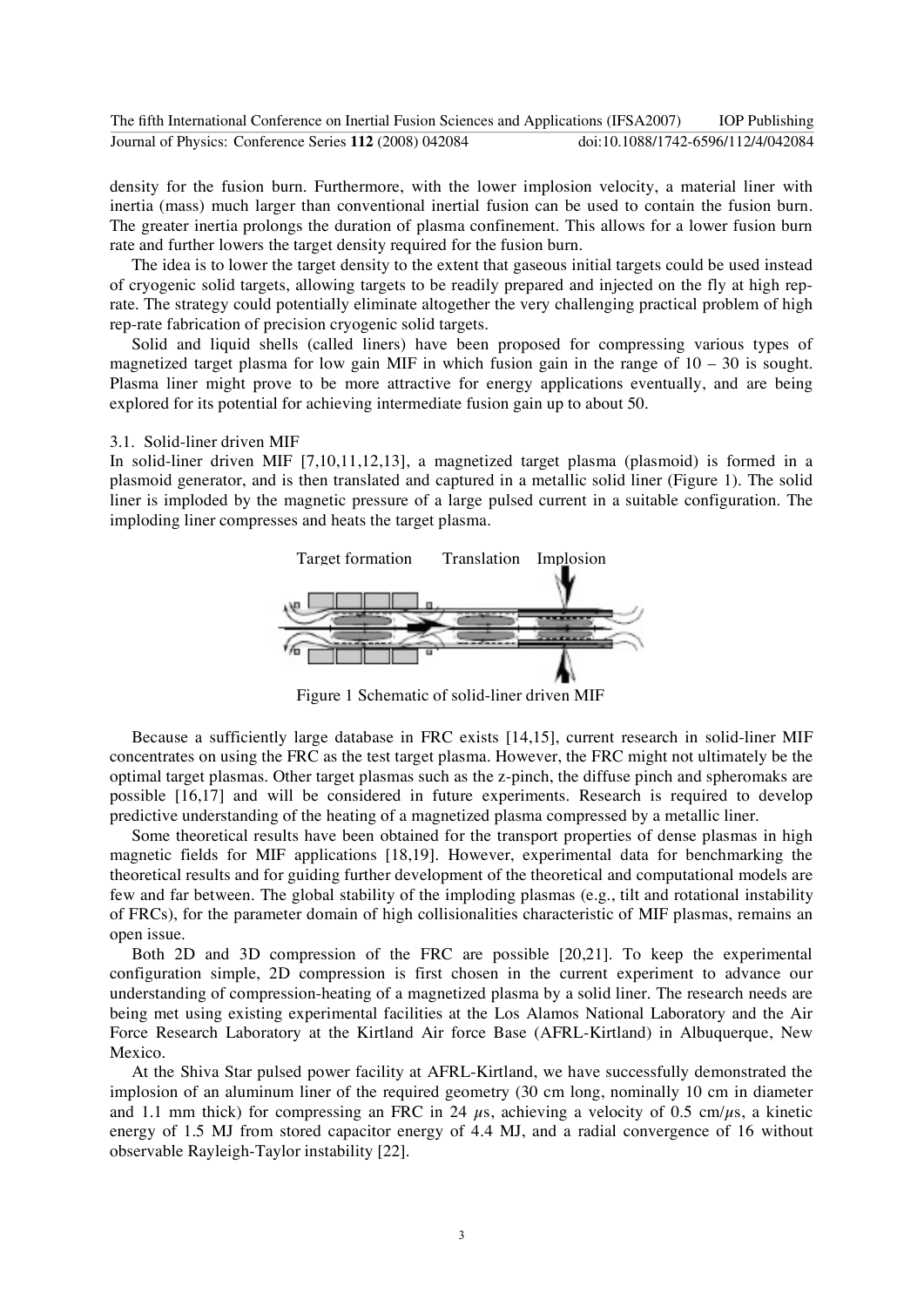| The fifth International Conference on Inertial Fusion Sciences and Applications (IFSA2007) |                                    | <b>IOP</b> Publishing |
|--------------------------------------------------------------------------------------------|------------------------------------|-----------------------|
| Journal of Physics: Conference Series 112 (2008) 042084                                    | doi:10.1088/1742-6596/112/4/042084 |                       |

density for the fusion burn. Furthermore, with the lower implosion velocity, a material liner with inertia (mass) much larger than conventional inertial fusion can be used to contain the fusion burn. The greater inertia prolongs the duration of plasma confinement. This allows for a lower fusion burn rate and further lowers the target density required for the fusion burn.

The idea is to lower the target density to the extent that gaseous initial targets could be used instead of cryogenic solid targets, allowing targets to be readily prepared and injected on the fly at high reprate. The strategy could potentially eliminate altogether the very challenging practical problem of high rep-rate fabrication of precision cryogenic solid targets.

Solid and liquid shells (called liners) have been proposed for compressing various types of magnetized target plasma for low gain MIF in which fusion gain in the range of  $10 - 30$  is sought. Plasma liner might prove to be more attractive for energy applications eventually, and are being explored for its potential for achieving intermediate fusion gain up to about 50.

## 3.1. Solid-liner driven MIF

In solid-liner driven MIF [7,10,11,12,13], a magnetized target plasma (plasmoid) is formed in a plasmoid generator, and is then translated and captured in a metallic solid liner (Figure 1). The solid liner is imploded by the magnetic pressure of a large pulsed current in a suitable configuration. The imploding liner compresses and heats the target plasma.



Figure 1 Schematic of solid-liner driven MIF

Because a sufficiently large database in FRC exists [14,15], current research in solid-liner MIF concentrates on using the FRC as the test target plasma. However, the FRC might not ultimately be the optimal target plasmas. Other target plasmas such as the z-pinch, the diffuse pinch and spheromaks are possible [16,17] and will be considered in future experiments. Research is required to develop predictive understanding of the heating of a magnetized plasma compressed by a metallic liner.

Some theoretical results have been obtained for the transport properties of dense plasmas in high magnetic fields for MIF applications [18,19]. However, experimental data for benchmarking the theoretical results and for guiding further development of the theoretical and computational models are few and far between. The global stability of the imploding plasmas (e.g., tilt and rotational instability of FRCs), for the parameter domain of high collisionalities characteristic of MIF plasmas, remains an open issue.

Both 2D and 3D compression of the FRC are possible [20,21]. To keep the experimental configuration simple, 2D compression is first chosen in the current experiment to advance our understanding of compression-heating of a magnetized plasma by a solid liner. The research needs are being met using existing experimental facilities at the Los Alamos National Laboratory and the Air Force Research Laboratory at the Kirtland Air force Base (AFRL-Kirtland) in Albuquerque, New Mexico.

At the Shiva Star pulsed power facility at AFRL-Kirtland, we have successfully demonstrated the implosion of an aluminum liner of the required geometry (30 cm long, nominally 10 cm in diameter and 1.1 mm thick) for compressing an FRC in 24  $\mu$ s, achieving a velocity of 0.5 cm/ $\mu$ s, a kinetic energy of 1.5 MJ from stored capacitor energy of 4.4 MJ, and a radial convergence of 16 without observable Rayleigh-Taylor instability [22].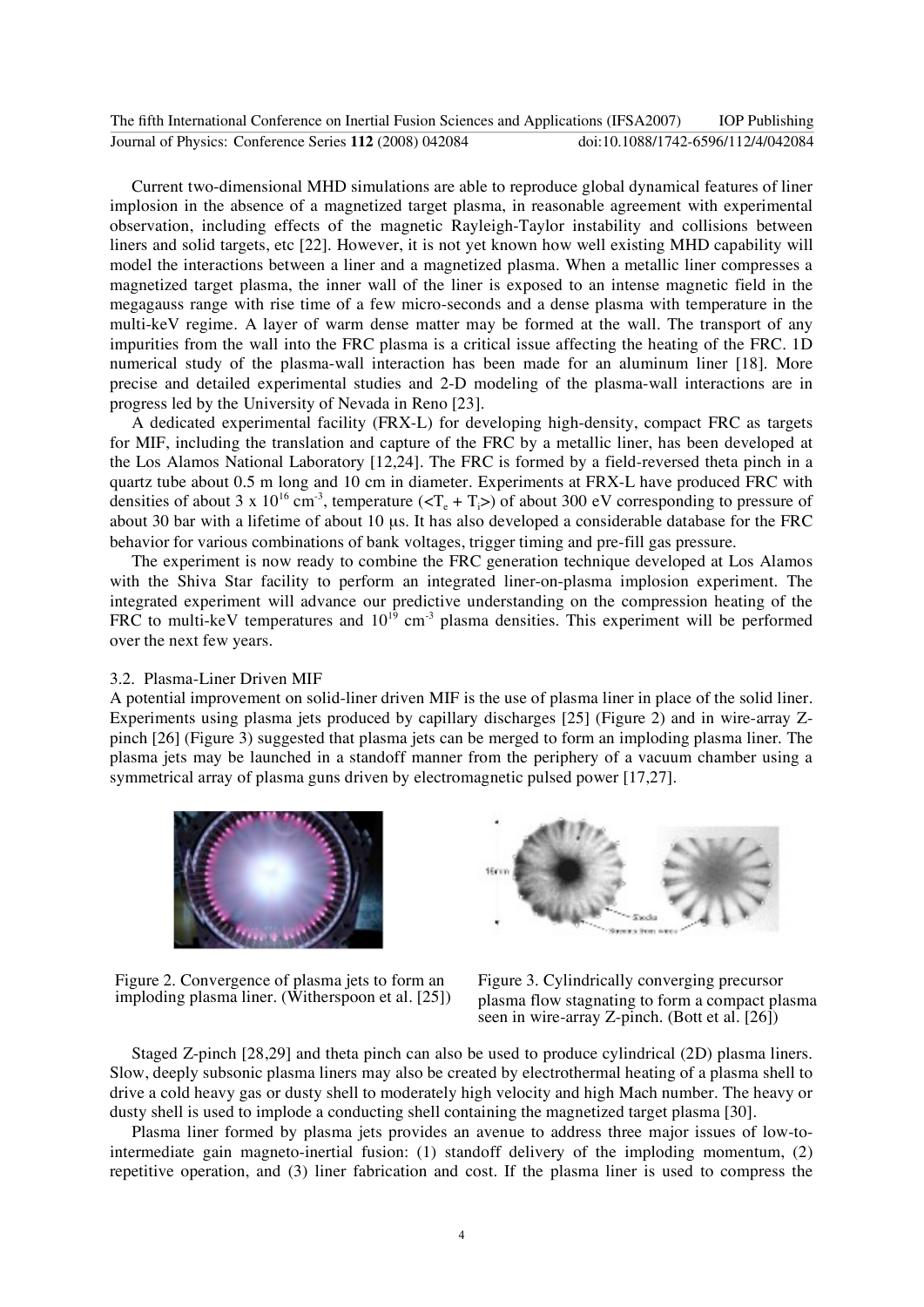Current two-dimensional MHD simulations are able to reproduce global dynamical features of liner implosion in the absence of a magnetized target plasma, in reasonable agreement with experimental observation, including effects of the magnetic Rayleigh-Taylor instability and collisions between liners and solid targets, etc [22]. However, it is not yet known how well existing MHD capability will model the interactions between a liner and a magnetized plasma. When a metallic liner compresses a magnetized target plasma, the inner wall of the liner is exposed to an intense magnetic field in the megagauss range with rise time of a few micro-seconds and a dense plasma with temperature in the multi-keV regime. A layer of warm dense matter may be formed at the wall. The transport of any impurities from the wall into the FRC plasma is a critical issue affecting the heating of the FRC. 1D numerical study of the plasma-wall interaction has been made for an aluminum liner [18]. More precise and detailed experimental studies and 2-D modeling of the plasma-wall interactions are in progress led by the University of Nevada in Reno [23].

A dedicated experimental facility (FRX-L) for developing high-density, compact FRC as targets for MIF, including the translation and capture of the FRC by a metallic liner, has been developed at the Los Alamos National Laboratory [12,24]. The FRC is formed by a field-reversed theta pinch in a quartz tube about 0.5 m long and 10 cm in diameter. Experiments at FRX-L have produced FRC with densities of about 3 x  $10^{16}$  cm<sup>-3</sup>, temperature ( $(T_e + T_i$ ) of about 300 eV corresponding to pressure of about 30 bar with a lifetime of about 10 µs. It has also developed a considerable database for the FRC behavior for various combinations of bank voltages, trigger timing and pre-fill gas pressure.

The experiment is now ready to combine the FRC generation technique developed at Los Alamos with the Shiva Star facility to perform an integrated liner-on-plasma implosion experiment. The integrated experiment will advance our predictive understanding on the compression heating of the FRC to multi-keV temperatures and  $10^{19}$  cm<sup>-3</sup> plasma densities. This experiment will be performed over the next few years.

#### 3.2. Plasma-Liner Driven MIF

A potential improvement on solid-liner driven MIF is the use of plasma liner in place of the solid liner. Experiments using plasma jets produced by capillary discharges [25] (Figure 2) and in wire-array Zpinch [26] (Figure 3) suggested that plasma jets can be merged to form an imploding plasma liner. The plasma jets may be launched in a standoff manner from the periphery of a vacuum chamber using a symmetrical array of plasma guns driven by electromagnetic pulsed power [17,27].



Figure 2. Convergence of plasma jets to form an imploding plasma liner. (Witherspoon et al. [25])



Figure 3. Cylindrically converging precursor plasma flow stagnating to form a compact plasma seen in wire-array Z-pinch. (Bott et al. [26])

Staged Z-pinch [28,29] and theta pinch can also be used to produce cylindrical (2D) plasma liners. Slow, deeply subsonic plasma liners may also be created by electrothermal heating of a plasma shell to drive a cold heavy gas or dusty shell to moderately high velocity and high Mach number. The heavy or dusty shell is used to implode a conducting shell containing the magnetized target plasma [30].

Plasma liner formed by plasma jets provides an avenue to address three major issues of low-tointermediate gain magneto-inertial fusion: (1) standoff delivery of the imploding momentum, (2) repetitive operation, and (3) liner fabrication and cost. If the plasma liner is used to compress the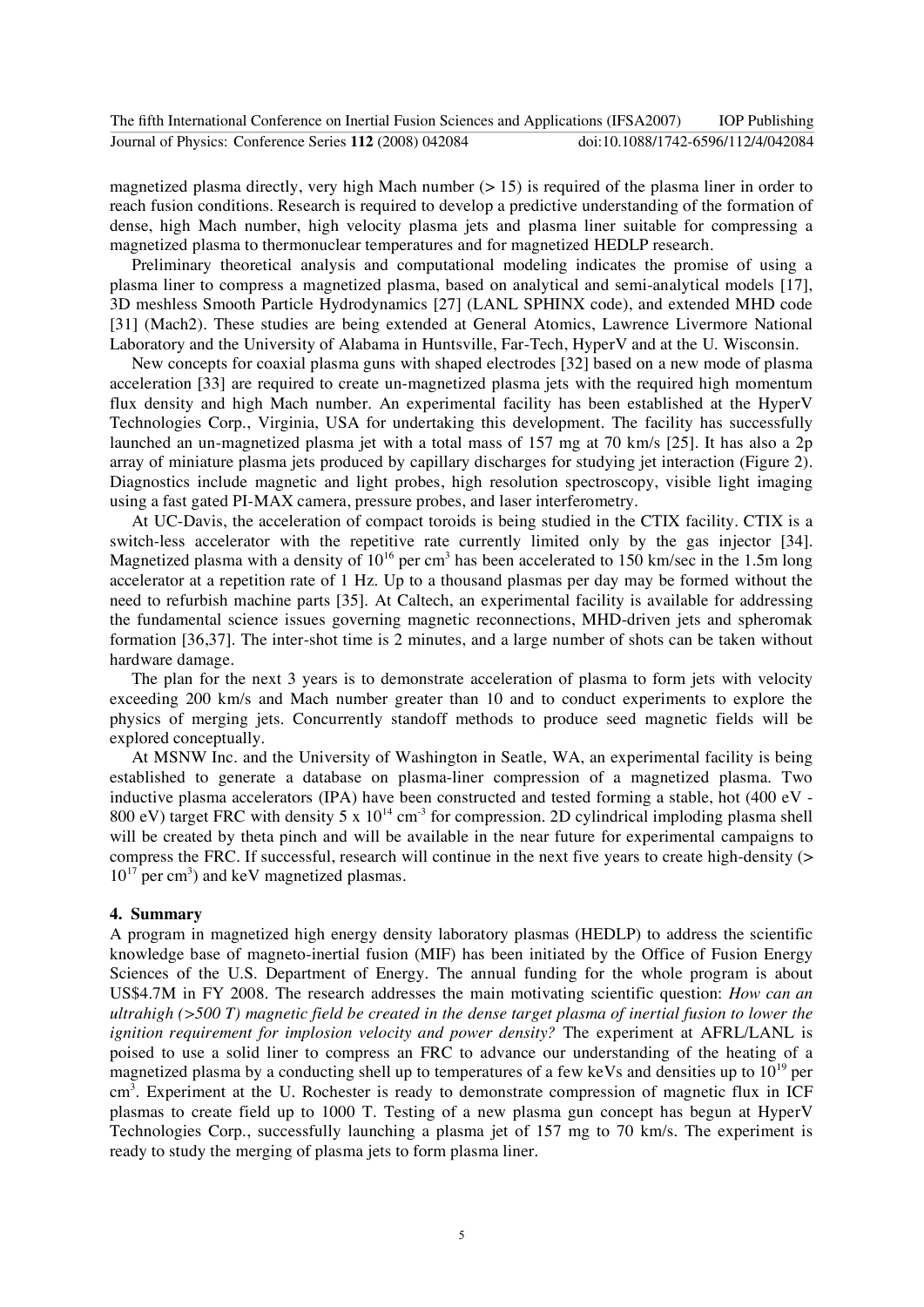| The fifth International Conference on Inertial Fusion Sciences and Applications (IFSA2007) |                                    | <b>IOP Publishing</b> |
|--------------------------------------------------------------------------------------------|------------------------------------|-----------------------|
| Journal of Physics: Conference Series 112 (2008) 042084                                    | doi:10.1088/1742-6596/112/4/042084 |                       |

magnetized plasma directly, very high Mach number  $(> 15)$  is required of the plasma liner in order to reach fusion conditions. Research is required to develop a predictive understanding of the formation of dense, high Mach number, high velocity plasma jets and plasma liner suitable for compressing a magnetized plasma to thermonuclear temperatures and for magnetized HEDLP research.

Preliminary theoretical analysis and computational modeling indicates the promise of using a plasma liner to compress a magnetized plasma, based on analytical and semi-analytical models [17], 3D meshless Smooth Particle Hydrodynamics [27] (LANL SPHINX code), and extended MHD code [31] (Mach2). These studies are being extended at General Atomics, Lawrence Livermore National Laboratory and the University of Alabama in Huntsville, Far-Tech, HyperV and at the U. Wisconsin.

New concepts for coaxial plasma guns with shaped electrodes [32] based on a new mode of plasma acceleration [33] are required to create un-magnetized plasma jets with the required high momentum flux density and high Mach number. An experimental facility has been established at the HyperV Technologies Corp., Virginia, USA for undertaking this development. The facility has successfully launched an un-magnetized plasma jet with a total mass of 157 mg at 70 km/s [25]. It has also a 2p array of miniature plasma jets produced by capillary discharges for studying jet interaction (Figure 2). Diagnostics include magnetic and light probes, high resolution spectroscopy, visible light imaging using a fast gated PI-MAX camera, pressure probes, and laser interferometry.

At UC-Davis, the acceleration of compact toroids is being studied in the CTIX facility. CTIX is a switch-less accelerator with the repetitive rate currently limited only by the gas injector [34]. Magnetized plasma with a density of  $10^{16}$  per cm<sup>3</sup> has been accelerated to 150 km/sec in the 1.5m long accelerator at a repetition rate of 1 Hz. Up to a thousand plasmas per day may be formed without the need to refurbish machine parts [35]. At Caltech, an experimental facility is available for addressing the fundamental science issues governing magnetic reconnections, MHD-driven jets and spheromak formation [36,37]. The inter-shot time is 2 minutes, and a large number of shots can be taken without hardware damage.

The plan for the next 3 years is to demonstrate acceleration of plasma to form jets with velocity exceeding 200 km/s and Mach number greater than 10 and to conduct experiments to explore the physics of merging jets. Concurrently standoff methods to produce seed magnetic fields will be explored conceptually.

At MSNW Inc. and the University of Washington in Seatle, WA, an experimental facility is being established to generate a database on plasma-liner compression of a magnetized plasma. Two inductive plasma accelerators (IPA) have been constructed and tested forming a stable, hot (400 eV - 800 eV) target FRC with density 5 x  $10^{14}$  cm<sup>-3</sup> for compression. 2D cylindrical imploding plasma shell will be created by theta pinch and will be available in the near future for experimental campaigns to compress the FRC. If successful, research will continue in the next five years to create high-density (>  $10^{17}$  per cm<sup>3</sup>) and keV magnetized plasmas.

# **4. Summary**

A program in magnetized high energy density laboratory plasmas (HEDLP) to address the scientific knowledge base of magneto-inertial fusion (MIF) has been initiated by the Office of Fusion Energy Sciences of the U.S. Department of Energy. The annual funding for the whole program is about US\$4.7M in FY 2008. The research addresses the main motivating scientific question: *How can an ultrahigh (>500 T) magnetic field be created in the dense target plasma of inertial fusion to lower the ignition requirement for implosion velocity and power density?* The experiment at AFRL/LANL is poised to use a solid liner to compress an FRC to advance our understanding of the heating of a magnetized plasma by a conducting shell up to temperatures of a few keVs and densities up to  $10^{19}$  per cm<sup>3</sup>. Experiment at the U. Rochester is ready to demonstrate compression of magnetic flux in ICF plasmas to create field up to 1000 T. Testing of a new plasma gun concept has begun at HyperV Technologies Corp., successfully launching a plasma jet of 157 mg to 70 km/s. The experiment is ready to study the merging of plasma jets to form plasma liner.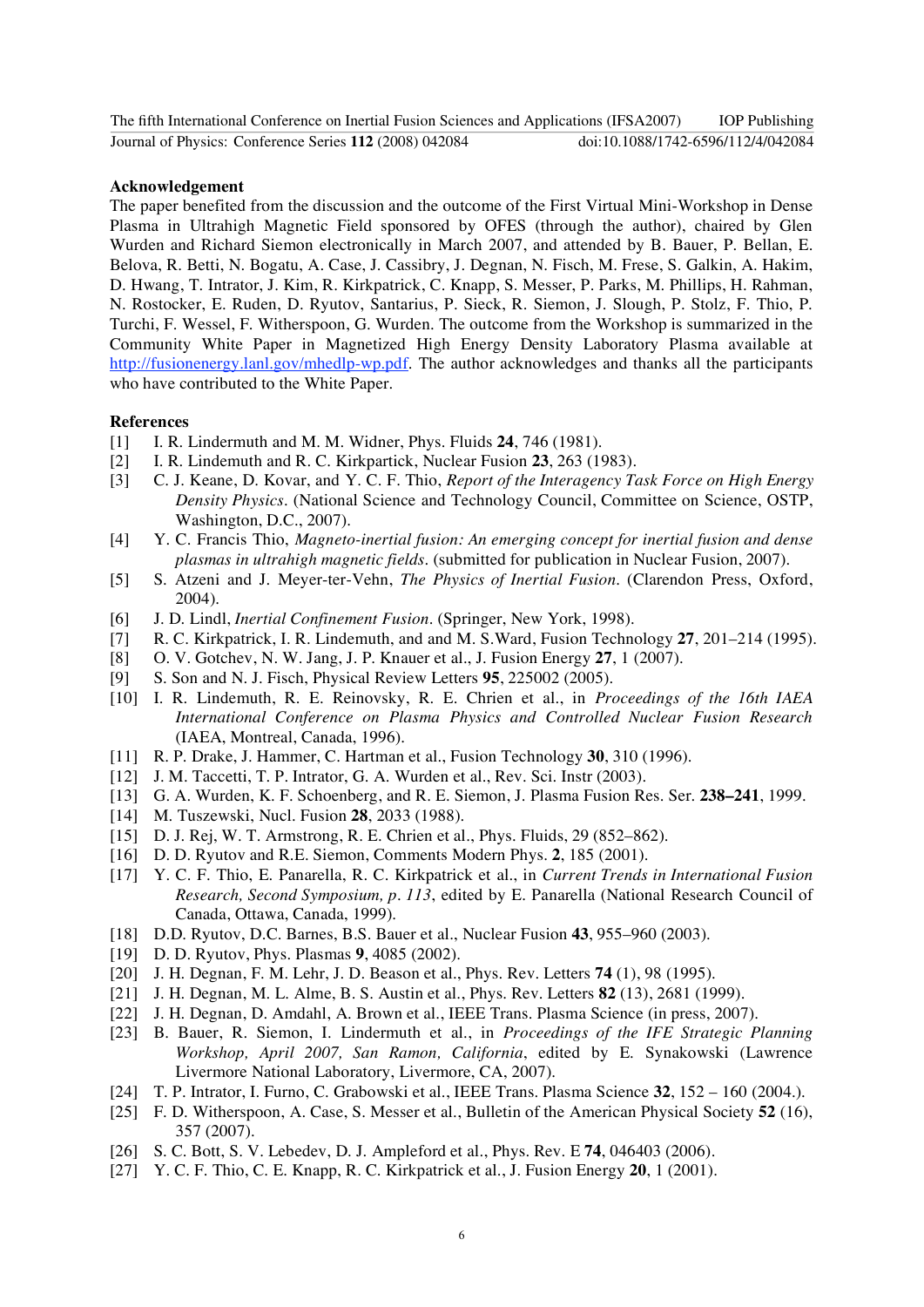# **Acknowledgement**

The paper benefited from the discussion and the outcome of the First Virtual Mini-Workshop in Dense Plasma in Ultrahigh Magnetic Field sponsored by OFES (through the author), chaired by Glen Wurden and Richard Siemon electronically in March 2007, and attended by B. Bauer, P. Bellan, E. Belova, R. Betti, N. Bogatu, A. Case, J. Cassibry, J. Degnan, N. Fisch, M. Frese, S. Galkin, A. Hakim, D. Hwang, T. Intrator, J. Kim, R. Kirkpatrick, C. Knapp, S. Messer, P. Parks, M. Phillips, H. Rahman, N. Rostocker, E. Ruden, D. Ryutov, Santarius, P. Sieck, R. Siemon, J. Slough, P. Stolz, F. Thio, P. Turchi, F. Wessel, F. Witherspoon, G. Wurden. The outcome from the Workshop is summarized in the Community White Paper in Magnetized High Energy Density Laboratory Plasma available at http://fusionenergy.lanl.gov/mhedlp-wp.pdf. The author acknowledges and thanks all the participants who have contributed to the White Paper.

## **References**

- [1] I. R. Lindermuth and M. M. Widner, Phys. Fluids **24**, 746 (1981).
- [2] I. R. Lindemuth and R. C. Kirkpartick, Nuclear Fusion **23**, 263 (1983).
- [3] C. J. Keane, D. Kovar, and Y. C. F. Thio, *Report of the Interagency Task Force on High Energy Density Physics*. (National Science and Technology Council, Committee on Science, OSTP, Washington, D.C., 2007).
- [4] Y. C. Francis Thio, *Magneto-inertial fusion: An emerging concept for inertial fusion and dense plasmas in ultrahigh magnetic fields*. (submitted for publication in Nuclear Fusion, 2007).
- [5] S. Atzeni and J. Meyer-ter-Vehn, *The Physics of Inertial Fusion*. (Clarendon Press, Oxford, 2004).
- [6] J. D. Lindl, *Inertial Confinement Fusion*. (Springer, New York, 1998).
- [7] R. C. Kirkpatrick, I. R. Lindemuth, and and M. S.Ward, Fusion Technology **27**, 201–214 (1995).
- [8] O. V. Gotchev, N. W. Jang, J. P. Knauer et al., J. Fusion Energy **27**, 1 (2007).
- [9] S. Son and N. J. Fisch, Physical Review Letters **95**, 225002 (2005).
- [10] I. R. Lindemuth, R. E. Reinovsky, R. E. Chrien et al., in *Proceedings of the 16th IAEA International Conference on Plasma Physics and Controlled Nuclear Fusion Research* (IAEA, Montreal, Canada, 1996).
- [11] R. P. Drake, J. Hammer, C. Hartman et al., Fusion Technology **30**, 310 (1996).
- [12] J. M. Taccetti, T. P. Intrator, G. A. Wurden et al., Rev. Sci. Instr (2003).
- [13] G. A. Wurden, K. F. Schoenberg, and R. E. Siemon, J. Plasma Fusion Res. Ser. **238–241**, 1999.
- [14] M. Tuszewski, Nucl. Fusion **28**, 2033 (1988).
- [15] D. J. Rej, W. T. Armstrong, R. E. Chrien et al., Phys. Fluids, 29 (852–862).
- [16] D. D. Ryutov and R.E. Siemon, Comments Modern Phys. **2**, 185 (2001).
- [17] Y. C. F. Thio, E. Panarella, R. C. Kirkpatrick et al., in *Current Trends in International Fusion Research, Second Symposium, p. 113*, edited by E. Panarella (National Research Council of Canada, Ottawa, Canada, 1999).
- [18] D.D. Ryutov, D.C. Barnes, B.S. Bauer et al., Nuclear Fusion **43**, 955–960 (2003).
- [19] D. D. Ryutov, Phys. Plasmas **9**, 4085 (2002).
- [20] J. H. Degnan, F. M. Lehr, J. D. Beason et al., Phys. Rev. Letters **74** (1), 98 (1995).
- [21] J. H. Degnan, M. L. Alme, B. S. Austin et al., Phys. Rev. Letters **82** (13), 2681 (1999).
- [22] J. H. Degnan, D. Amdahl, A. Brown et al., IEEE Trans. Plasma Science (in press, 2007).
- [23] B. Bauer, R. Siemon, I. Lindermuth et al., in *Proceedings of the IFE Strategic Planning Workshop, April 2007, San Ramon, California*, edited by E. Synakowski (Lawrence Livermore National Laboratory, Livermore, CA, 2007).
- [24] T. P. Intrator, I. Furno, C. Grabowski et al., IEEE Trans. Plasma Science **32**, 152 160 (2004.).
- [25] F. D. Witherspoon, A. Case, S. Messer et al., Bulletin of the American Physical Society **52** (16), 357 (2007).
- [26] S. C. Bott, S. V. Lebedev, D. J. Ampleford et al., Phys. Rev. E **74**, 046403 (2006).
- [27] Y. C. F. Thio, C. E. Knapp, R. C. Kirkpatrick et al., J. Fusion Energy **20**, 1 (2001).